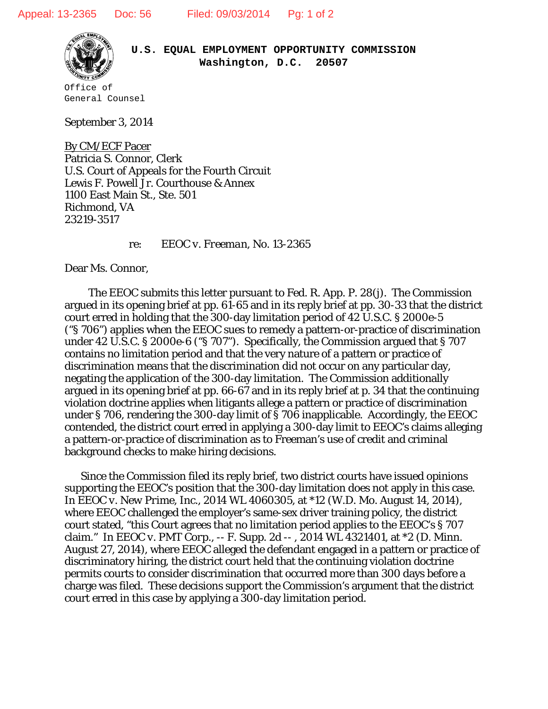

**U.S. EQUAL EMPLOYMENT OPPORTUNITY COMMISSION Washington, D.C. 20507**

Office of General Counsel

September 3, 2014

Patricia S. Connor, Clerk By CM/ECF Pacer U.S. Court of Appeals for the Fourth Circuit Lewis F. Powell Jr. Courthouse & Annex 1100 East Main St., Ste. 501 Richmond, VA 23219-3517

re: *EEOC v. Freeman*, No. 13-2365

Dear Ms. Connor,

 The EEOC submits this letter pursuant to Fed. R. App. P. 28(j). The Commission argued in its opening brief at pp. 61-65 and in its reply brief at pp. 30-33 that the district court erred in holding that the 300-day limitation period of 42 U.S.C. § 2000e-5 ("§ 706") applies when the EEOC sues to remedy a pattern-or-practice of discrimination under 42 U.S.C. § 2000e-6 ("§ 707"). Specifically, the Commission argued that § 707 contains no limitation period and that the very nature of a pattern or practice of discrimination means that the discrimination did not occur on any particular day, negating the application of the 300-day limitation. The Commission additionally argued in its opening brief at pp. 66-67 and in its reply brief at p. 34 that the continuing violation doctrine applies when litigants allege a pattern or practice of discrimination under § 706, rendering the 300-day limit of § 706 inapplicable. Accordingly, the EEOC contended, the district court erred in applying a 300-day limit to EEOC's claims alleging a pattern-or-practice of discrimination as to Freeman's use of credit and criminal background checks to make hiring decisions.

Since the Commission filed its reply brief, two district courts have issued opinions supporting the EEOC's position that the 300-day limitation does not apply in this case. In *EEOC v. New Prime, Inc.*, 2014 WL 4060305, at \*12 (W.D. Mo. August 14, 2014), where EEOC challenged the employer's same-sex driver training policy, the district court stated, "this Court agrees that no limitation period applies to the EEOC's § 707 claim." In *EEOC v. PMT Corp.*, -- F. Supp. 2d -- , 2014 WL 4321401, at \*2 (D. Minn. August 27, 2014), where EEOC alleged the defendant engaged in a pattern or practice of discriminatory hiring, the district court held that the continuing violation doctrine permits courts to consider discrimination that occurred more than 300 days before a charge was filed. These decisions support the Commission's argument that the district court erred in this case by applying a 300-day limitation period.